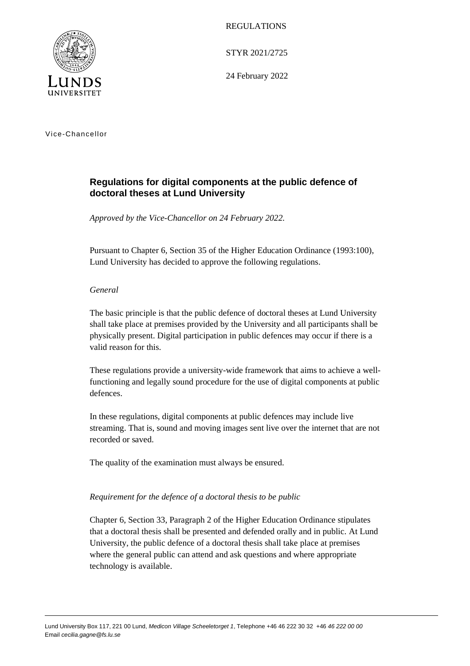

REGULATIONS

STYR 2021/2725

24 February 2022

Vice-Chancellor

# **Regulations for digital components at the public defence of doctoral theses at Lund University**

*Approved by the Vice-Chancellor on 24 February 2022.*

Pursuant to Chapter 6, Section 35 of the Higher Education Ordinance (1993:100), Lund University has decided to approve the following regulations.

## *General*

The basic principle is that the public defence of doctoral theses at Lund University shall take place at premises provided by the University and all participants shall be physically present. Digital participation in public defences may occur if there is a valid reason for this.

These regulations provide a university-wide framework that aims to achieve a wellfunctioning and legally sound procedure for the use of digital components at public defences.

In these regulations, digital components at public defences may include live streaming. That is, sound and moving images sent live over the internet that are not recorded or saved.

The quality of the examination must always be ensured.

### *Requirement for the defence of a doctoral thesis to be public*

Chapter 6, Section 33, Paragraph 2 of the Higher Education Ordinance stipulates that a doctoral thesis shall be presented and defended orally and in public. At Lund University, the public defence of a doctoral thesis shall take place at premises where the general public can attend and ask questions and where appropriate technology is available.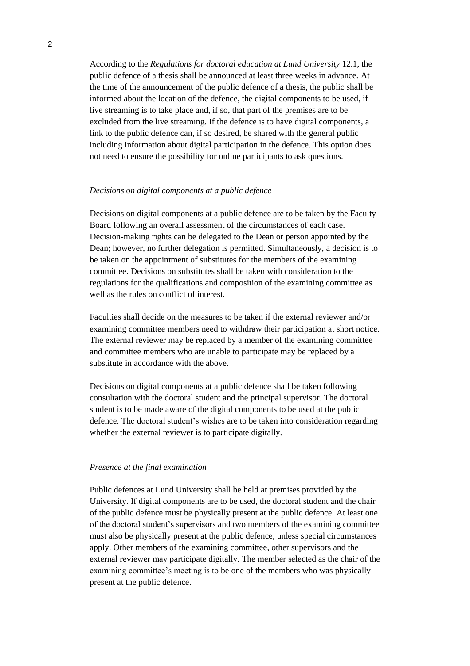According to the *Regulations for doctoral education at Lund University* 12.1, the public defence of a thesis shall be announced at least three weeks in advance. At the time of the announcement of the public defence of a thesis, the public shall be informed about the location of the defence, the digital components to be used, if live streaming is to take place and, if so, that part of the premises are to be excluded from the live streaming. If the defence is to have digital components, a link to the public defence can, if so desired, be shared with the general public including information about digital participation in the defence. This option does not need to ensure the possibility for online participants to ask questions.

#### *Decisions on digital components at a public defence*

Decisions on digital components at a public defence are to be taken by the Faculty Board following an overall assessment of the circumstances of each case. Decision-making rights can be delegated to the Dean or person appointed by the Dean; however, no further delegation is permitted. Simultaneously, a decision is to be taken on the appointment of substitutes for the members of the examining committee. Decisions on substitutes shall be taken with consideration to the regulations for the qualifications and composition of the examining committee as well as the rules on conflict of interest.

Faculties shall decide on the measures to be taken if the external reviewer and/or examining committee members need to withdraw their participation at short notice. The external reviewer may be replaced by a member of the examining committee and committee members who are unable to participate may be replaced by a substitute in accordance with the above.

Decisions on digital components at a public defence shall be taken following consultation with the doctoral student and the principal supervisor. The doctoral student is to be made aware of the digital components to be used at the public defence. The doctoral student's wishes are to be taken into consideration regarding whether the external reviewer is to participate digitally.

#### *Presence at the final examination*

Public defences at Lund University shall be held at premises provided by the University. If digital components are to be used, the doctoral student and the chair of the public defence must be physically present at the public defence. At least one of the doctoral student's supervisors and two members of the examining committee must also be physically present at the public defence, unless special circumstances apply. Other members of the examining committee, other supervisors and the external reviewer may participate digitally. The member selected as the chair of the examining committee's meeting is to be one of the members who was physically present at the public defence.